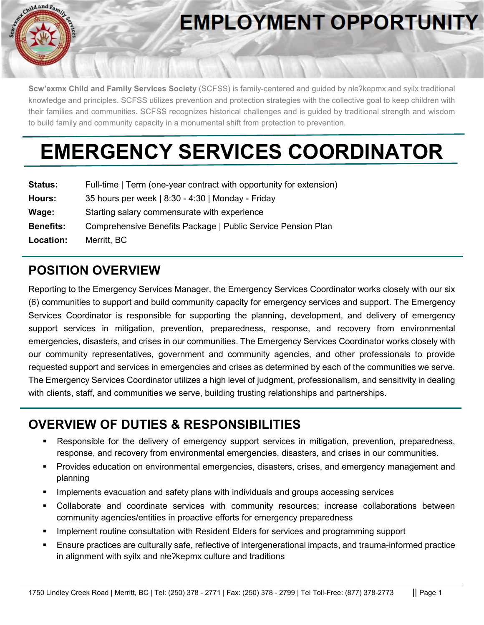

# **EMPLOYMENT OPPORTUNITY**

**Scw'exmx Child and Family Services Society** (SCFSS) is family-centered and guided by nłeʔkepmx and syilx traditional knowledge and principles. SCFSS utilizes prevention and protection strategies with the collective goal to keep children with their families and communities. SCFSS recognizes historical challenges and is guided by traditional strength and wisdom to build family and community capacity in a monumental shift from protection to prevention.

# **EMERGENCY SERVICES COORDINATOR**

| <b>Status:</b>   | Full-time   Term (one-year contract with opportunity for extension) |
|------------------|---------------------------------------------------------------------|
| Hours:           | 35 hours per week   8:30 - 4:30   Monday - Friday                   |
| Wage:            | Starting salary commensurate with experience                        |
| <b>Benefits:</b> | Comprehensive Benefits Package   Public Service Pension Plan        |
| Location:        | Merritt, BC                                                         |

## **POSITION OVERVIEW**

Reporting to the Emergency Services Manager, the Emergency Services Coordinator works closely with our six (6) communities to support and build community capacity for emergency services and support. The Emergency Services Coordinator is responsible for supporting the planning, development, and delivery of emergency support services in mitigation, prevention, preparedness, response, and recovery from environmental emergencies, disasters, and crises in our communities. The Emergency Services Coordinator works closely with our community representatives, government and community agencies, and other professionals to provide requested support and services in emergencies and crises as determined by each of the communities we serve. The Emergency Services Coordinator utilizes a high level of judgment, professionalism, and sensitivity in dealing with clients, staff, and communities we serve, building trusting relationships and partnerships.

## **OVERVIEW OF DUTIES & RESPONSIBILITIES**

- Responsible for the delivery of emergency support services in mitigation, prevention, preparedness, response, and recovery from environmental emergencies, disasters, and crises in our communities.
- Provides education on environmental emergencies, disasters, crises, and emergency management and planning
- Implements evacuation and safety plans with individuals and groups accessing services
- Collaborate and coordinate services with community resources; increase collaborations between community agencies/entities in proactive efforts for emergency preparedness
- Implement routine consultation with Resident Elders for services and programming support
- Ensure practices are culturally safe, reflective of intergenerational impacts, and trauma-informed practice in alignment with syilx and nłeʔkepmx culture and traditions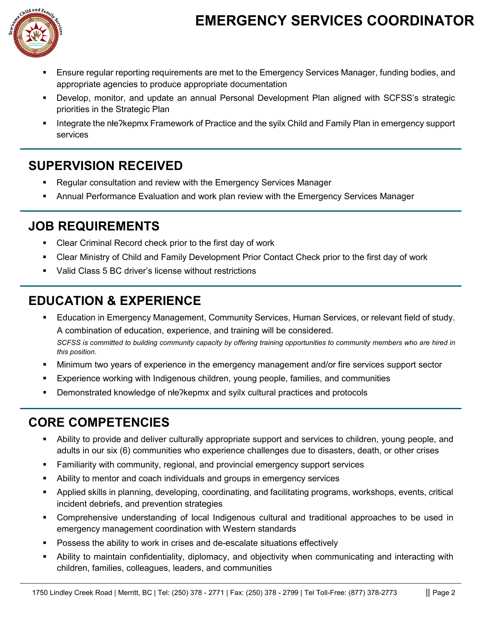## **EMERGENCY SERVICES COORDINATOR**



- Ensure regular reporting requirements are met to the Emergency Services Manager, funding bodies, and appropriate agencies to produce appropriate documentation
- Develop, monitor, and update an annual Personal Development Plan aligned with SCFSS's strategic priorities in the Strategic Plan
- Integrate the nłeʔkepmx Framework of Practice and the syilx Child and Family Plan in emergency support services

### **SUPERVISION RECEIVED**

- Regular consultation and review with the Emergency Services Manager
- Annual Performance Evaluation and work plan review with the Emergency Services Manager

#### **JOB REQUIREMENTS**

- **EXECLE CRIMINAL RECOLE CHECK PRIOT TO THE FIRM** Clear Criminal Record check prior to the first day of work
- Clear Ministry of Child and Family Development Prior Contact Check prior to the first day of work
- Valid Class 5 BC driver's license without restrictions

## **EDUCATION & EXPERIENCE**

- Education in Emergency Management, Community Services, Human Services, or relevant field of study. A combination of education, experience, and training will be considered. *SCFSS is committed to building community capacity by offering training opportunities to community members who are hired in this position.*
- Minimum two years of experience in the emergency management and/or fire services support sector
- Experience working with Indigenous children, young people, families, and communities
- Demonstrated knowledge of nłeʔkepmx and syilx cultural practices and protocols

## **CORE COMPETENCIES**

- Ability to provide and deliver culturally appropriate support and services to children, young people, and adults in our six (6) communities who experience challenges due to disasters, death, or other crises
- Familiarity with community, regional, and provincial emergency support services
- Ability to mentor and coach individuals and groups in emergency services
- Applied skills in planning, developing, coordinating, and facilitating programs, workshops, events, critical incident debriefs, and prevention strategies
- Comprehensive understanding of local Indigenous cultural and traditional approaches to be used in emergency management coordination with Western standards
- Possess the ability to work in crises and de-escalate situations effectively
- Ability to maintain confidentiality, diplomacy, and objectivity when communicating and interacting with children, families, colleagues, leaders, and communities